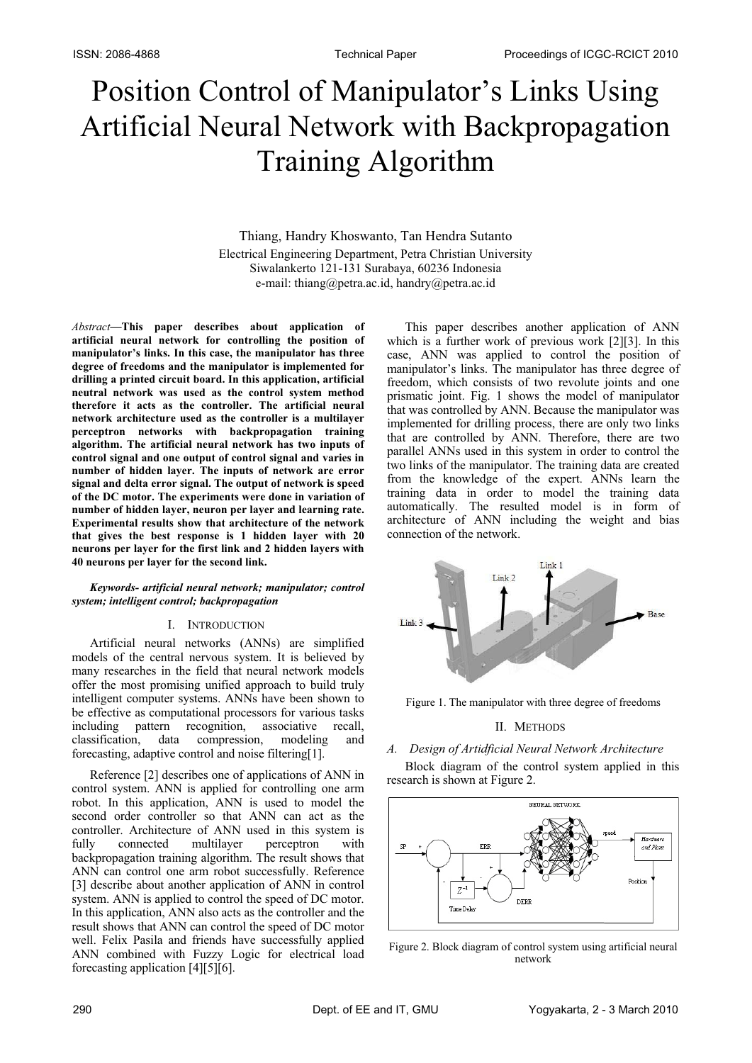# Position Control of Manipulator's Links Using Artificial Neural Network with Backpropagation Training Algorithm

Thiang, Handry Khoswanto, Tan Hendra Sutanto Electrical Engineering Department, Petra Christian University Siwalankerto 121-131 Surabaya, 60236 Indonesia e-mail: thiang@petra.ac.id, handry@petra.ac.id

*Abstract***—This paper describes about application of artificial neural network for controlling the position of manipulator's links. In this case, the manipulator has three degree of freedoms and the manipulator is implemented for drilling a printed circuit board. In this application, artificial neutral network was used as the control system method therefore it acts as the controller. The artificial neural network architecture used as the controller is a multilayer perceptron networks with backpropagation training algorithm. The artificial neural network has two inputs of control signal and one output of control signal and varies in number of hidden layer. The inputs of network are error signal and delta error signal. The output of network is speed of the DC motor. The experiments were done in variation of number of hidden layer, neuron per layer and learning rate. Experimental results show that architecture of the network that gives the best response is 1 hidden layer with 20 neurons per layer for the first link and 2 hidden layers with 40 neurons per layer for the second link.**

#### *Keywords- artificial neural network; manipulator; control system; intelligent control; backpropagation*

#### I. INTRODUCTION

Artificial neural networks (ANNs) are simplified models of the central nervous system. It is believed by many researches in the field that neural network models offer the most promising unified approach to build truly intelligent computer systems. ANNs have been shown to be effective as computational processors for various tasks including pattern recognition, associative recall, classification, data compression, modeling and forecasting, adaptive control and noise filtering[1].

Reference [2] describes one of applications of ANN in control system. ANN is applied for controlling one arm robot. In this application, ANN is used to model the second order controller so that ANN can act as the controller. Architecture of ANN used in this system is fully connected multilayer perceptron with backpropagation training algorithm. The result shows that ANN can control one arm robot successfully. Reference [3] describe about another application of ANN in control system. ANN is applied to control the speed of DC motor. In this application, ANN also acts as the controller and the result shows that ANN can control the speed of DC motor well. Felix Pasila and friends have successfully applied ANN combined with Fuzzy Logic for electrical load forecasting application [4][5][6].

This paper describes another application of ANN which is a further work of previous work [2][3]. In this case, ANN was applied to control the position of manipulator's links. The manipulator has three degree of freedom, which consists of two revolute joints and one prismatic joint. Fig. 1 shows the model of manipulator that was controlled by ANN. Because the manipulator was implemented for drilling process, there are only two links that are controlled by ANN. Therefore, there are two parallel ANNs used in this system in order to control the two links of the manipulator. The training data are created from the knowledge of the expert. ANNs learn the training data in order to model the training data automatically. The resulted model is in form of architecture of ANN including the weight and bias connection of the network.



Figure 1. The manipulator with three degree of freedoms

# II. METHODS

# *A. Design of Artidficial Neural Network Architecture*

Block diagram of the control system applied in this research is shown at Figure 2.



Figure 2. Block diagram of control system using artificial neural network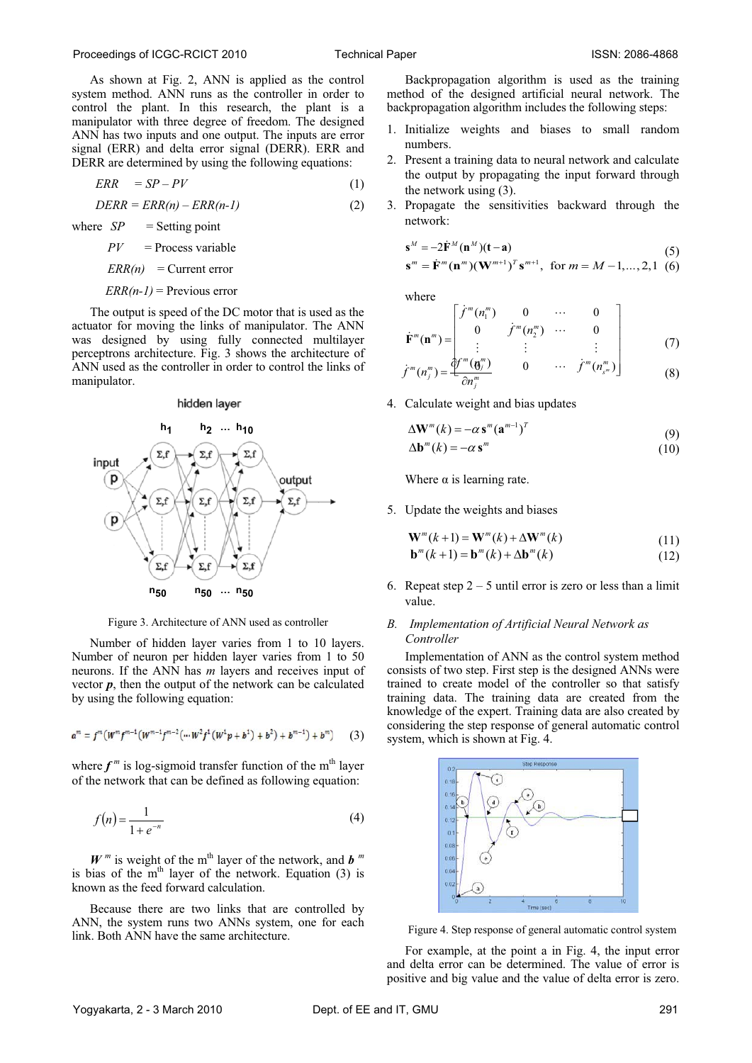As shown at Fig. 2, ANN is applied as the control system method. ANN runs as the controller in order to control the plant. In this research, the plant is a manipulator with three degree of freedom. The designed ANN has two inputs and one output. The inputs are error signal (ERR) and delta error signal (DERR). ERR and DERR are determined by using the following equations:

$$
ERR = SP - PV \tag{1}
$$

 $DERR = ERR(n) - ERR(n-1)$  (2)

where  $SP =$  Setting point  $PV =$  Process variable  $ERR(n) = Current error$ 

 $ERR(n-1)$  = Previous error

The output is speed of the DC motor that is used as the actuator for moving the links of manipulator. The ANN was designed by using fully connected multilayer perceptrons architecture. Fig. 3 shows the architecture of ANN used as the controller in order to control the links of manipulator.

#### hidden layer



Figure 3. Architecture of ANN used as controller

Number of hidden layer varies from 1 to 10 layers. Number of neuron per hidden layer varies from 1 to 50 neurons. If the ANN has *m* layers and receives input of vector  $p$ , then the output of the network can be calculated by using the following equation:

$$
a^{m} = f^{m}(W^{m} f^{m-1}(W^{m-1} f^{m-2}(W^{2} f^{1}(W^{1} p + b^{1}) + b^{2}) + b^{m-1}) + b^{m})
$$
 (3)

where  $f^m$  is log-sigmoid transfer function of the m<sup>th</sup> layer of the network that can be defined as following equation:

$$
f(n) = \frac{1}{1 + e^{-n}}\tag{4}
$$

 $W^m$  is weight of the m<sup>th</sup> layer of the network, and *b*<sup>*m*</sup> is bias of the  $m<sup>th</sup>$  layer of the network. Equation (3) is known as the feed forward calculation.

Because there are two links that are controlled by ANN, the system runs two ANNs system, one for each link. Both ANN have the same architecture.

Backpropagation algorithm is used as the training method of the designed artificial neural network. The backpropagation algorithm includes the following steps:

- 1. Initialize weights and biases to small random numbers.
- 2. Present a training data to neural network and calculate the output by propagating the input forward through the network using (3).
- 3. Propagate the sensitivities backward through the network:

$$
\mathbf{s}^{M} = -2\dot{\mathbf{F}}^{M}(\mathbf{n}^{M})(\mathbf{t} - \mathbf{a})
$$
(5)  

$$
\mathbf{s}^{m} = \dot{\mathbf{F}}^{m}(\mathbf{n}^{m})(\mathbf{W}^{m+1})^{T}\mathbf{s}^{m+1}, \text{ for } m = M-1,...,2,1 (6)
$$

where

$$
\dot{\mathbf{F}}^{m}(\mathbf{n}^{m}) = \begin{bmatrix} f^{m}(n_{1}^{m}) & 0 & \cdots & 0 \\ 0 & f^{m}(n_{2}^{m}) & \cdots & 0 \\ \vdots & \vdots & \vdots & \vdots \end{bmatrix}
$$
 (7)

$$
\dot{f}^m(n_j^m) = \frac{\partial f^m(\mathbf{0}_j^m)}{\partial n_j^m} \qquad 0 \qquad \cdots \qquad \dot{f}^m(n_{s^m}^m) \qquad (8)
$$

4. Calculate weight and bias updates

$$
\Delta \mathbf{W}^m(k) = -\alpha \mathbf{s}^m (\mathbf{a}^{m-1})^T
$$
\n(9)

$$
\Delta \mathbf{b}^m(k) = -\alpha \, \mathbf{s}^m \tag{10}
$$

Where  $\alpha$  is learning rate.

5. Update the weights and biases

$$
\mathbf{W}^{m}(k+1) = \mathbf{W}^{m}(k) + \Delta \mathbf{W}^{m}(k)
$$
\n(11)

$$
\mathbf{b}^{m}(k+1) = \mathbf{b}^{m}(k) + \Delta \mathbf{b}^{m}(k)
$$
\n(12)

6. Repeat step  $2 - 5$  until error is zero or less than a limit value.

#### *B. Implementation of Artificial Neural Network as Controller*

Implementation of ANN as the control system method consists of two step. First step is the designed ANNs were trained to create model of the controller so that satisfy training data. The training data are created from the knowledge of the expert. Training data are also created by considering the step response of general automatic control system, which is shown at Fig. 4.



Figure 4. Step response of general automatic control system

For example, at the point a in Fig. 4, the input error and delta error can be determined. The value of error is positive and big value and the value of delta error is zero.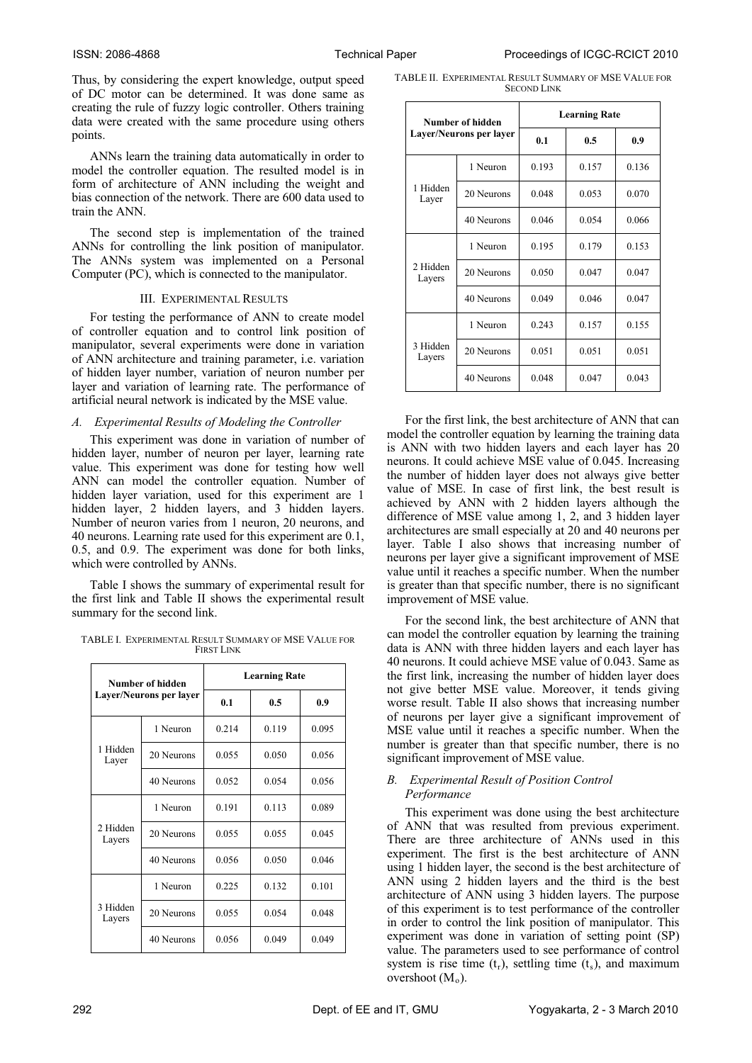Thus, by considering the expert knowledge, output speed of DC motor can be determined. It was done same as creating the rule of fuzzy logic controller. Others training data were created with the same procedure using others points.

ANNs learn the training data automatically in order to model the controller equation. The resulted model is in form of architecture of ANN including the weight and bias connection of the network. There are 600 data used to train the ANN.

The second step is implementation of the trained ANNs for controlling the link position of manipulator. The ANNs system was implemented on a Personal Computer (PC), which is connected to the manipulator.

## III. EXPERIMENTAL RESULTS

For testing the performance of ANN to create model of controller equation and to control link position of manipulator, several experiments were done in variation of ANN architecture and training parameter, i.e. variation of hidden layer number, variation of neuron number per layer and variation of learning rate. The performance of artificial neural network is indicated by the MSE value.

# *A. Experimental Results of Modeling the Controller*

This experiment was done in variation of number of hidden layer, number of neuron per layer, learning rate value. This experiment was done for testing how well ANN can model the controller equation. Number of hidden layer variation, used for this experiment are 1 hidden layer, 2 hidden layers, and 3 hidden layers. Number of neuron varies from 1 neuron, 20 neurons, and 40 neurons. Learning rate used for this experiment are 0.1, 0.5, and 0.9. The experiment was done for both links, which were controlled by ANNs.

Table I shows the summary of experimental result for the first link and Table II shows the experimental result summary for the second link.

TABLE I. EXPERIMENTAL RESULT SUMMARY OF MSE VALUE FOR FIRST LINK

| Number of hidden   |                         | <b>Learning Rate</b> |       |       |  |
|--------------------|-------------------------|----------------------|-------|-------|--|
|                    | Layer/Neurons per layer | 0.1<br>0.5           |       | 0.9   |  |
| 1 Hidden<br>Layer  | 1 Neuron                | 0.214                | 0.119 | 0.095 |  |
|                    | 20 Neurons              | 0.055                | 0.050 | 0.056 |  |
|                    | 40 Neurons              | 0.052                | 0.054 | 0.056 |  |
| 2 Hidden<br>Layers | 1 Neuron                | 0.191                | 0.113 | 0.089 |  |
|                    | 20 Neurons              | 0.055                | 0.055 | 0.045 |  |
|                    | 40 Neurons              | 0.056                | 0.050 | 0.046 |  |
| 3 Hidden<br>Layers | 1 Neuron                | 0.225                | 0.132 | 0.101 |  |
|                    | 20 Neurons              | 0.055                | 0.054 | 0.048 |  |
|                    | 40 Neurons              | 0.056                | 0.049 | 0.049 |  |

TABLE II. EXPERIMENTAL RESULT SUMMARY OF MSE VALUE FOR SECOND LINK

| Number of hidden   |                         | <b>Learning Rate</b> |       |       |  |
|--------------------|-------------------------|----------------------|-------|-------|--|
|                    | Layer/Neurons per layer | 0.1<br>0.9<br>0.5    |       |       |  |
| 1 Hidden<br>Layer  | 1 Neuron                | 0.193                | 0.157 | 0.136 |  |
|                    | 20 Neurons              | 0.048                | 0.053 | 0.070 |  |
|                    | 40 Neurons              | 0.046                | 0.054 | 0.066 |  |
| 2 Hidden<br>Layers | 1 Neuron                | 0.195                | 0.179 | 0.153 |  |
|                    | 20 Neurons              | 0.050                | 0.047 | 0.047 |  |
|                    | 40 Neurons              | 0.049                | 0.046 | 0.047 |  |
| 3 Hidden<br>Layers | 1 Neuron                | 0.243                | 0.157 | 0.155 |  |
|                    | 20 Neurons              | 0.051                | 0.051 | 0.051 |  |
|                    | 40 Neurons              | 0.048                | 0.047 | 0.043 |  |

For the first link, the best architecture of ANN that can model the controller equation by learning the training data is ANN with two hidden layers and each layer has 20 neurons. It could achieve MSE value of 0.045. Increasing the number of hidden layer does not always give better value of MSE. In case of first link, the best result is achieved by ANN with 2 hidden layers although the difference of MSE value among 1, 2, and 3 hidden layer architectures are small especially at 20 and 40 neurons per layer. Table I also shows that increasing number of neurons per layer give a significant improvement of MSE value until it reaches a specific number. When the number is greater than that specific number, there is no significant improvement of MSE value.

For the second link, the best architecture of ANN that can model the controller equation by learning the training data is ANN with three hidden layers and each layer has 40 neurons. It could achieve MSE value of 0.043. Same as the first link, increasing the number of hidden layer does not give better MSE value. Moreover, it tends giving worse result. Table II also shows that increasing number of neurons per layer give a significant improvement of MSE value until it reaches a specific number. When the number is greater than that specific number, there is no significant improvement of MSE value.

## *B. Experimental Result of Position Control Performance*

This experiment was done using the best architecture of ANN that was resulted from previous experiment. There are three architecture of ANNs used in this experiment. The first is the best architecture of ANN using 1 hidden layer, the second is the best architecture of ANN using 2 hidden layers and the third is the best architecture of ANN using 3 hidden layers. The purpose of this experiment is to test performance of the controller in order to control the link position of manipulator. This experiment was done in variation of setting point (SP) value. The parameters used to see performance of control system is rise time  $(t_r)$ , settling time  $(t_s)$ , and maximum overshoot  $(M_0)$ .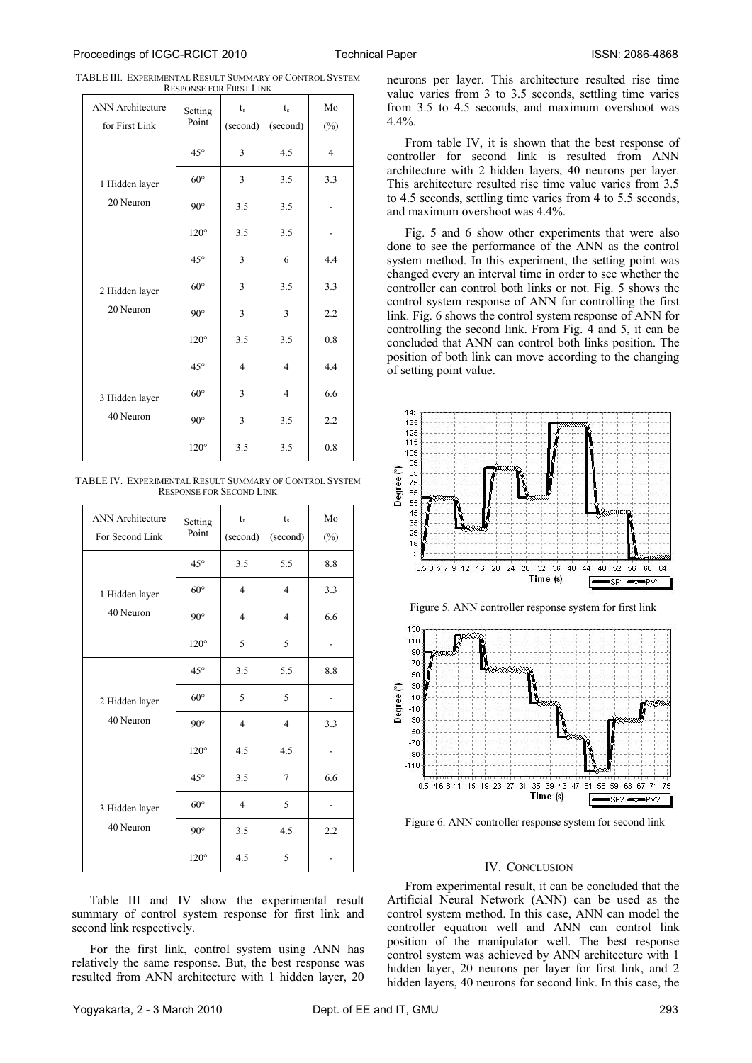| <b>ANN</b> Architecture     | Setting<br>Point | $t_{r}$        | $t_{\rm s}$    | Mo             |
|-----------------------------|------------------|----------------|----------------|----------------|
| for First Link              |                  | (second)       | (second)       | $(\%)$         |
| 1 Hidden layer              | $45^{\circ}$     | 3              | 4.5            | $\overline{4}$ |
|                             | $60^\circ$       | 3              | 3.5            | 3.3            |
| 20 Neuron                   | $90^\circ$       | 3.5            | 3.5            |                |
|                             | $120^\circ$      | 3.5            | 3.5            |                |
| 2 Hidden layer<br>20 Neuron | $45^{\circ}$     | 3              | 6              | 4.4            |
|                             | $60^{\circ}$     | 3              | 3.5            | 3.3            |
|                             | $90^{\circ}$     | 3              | 3              | 2.2            |
|                             | $120^\circ$      | 3.5            | 3.5            | 0.8            |
|                             | $45^{\circ}$     | $\overline{4}$ | $\overline{4}$ | 4.4            |
| 3 Hidden layer              | $60^\circ$       | 3              | $\overline{4}$ | 6.6            |
| 40 Neuron                   | $90^\circ$       | 3              | 3.5            | 2.2            |
|                             | $120^\circ$      | 3.5            | 3.5            | 0.8            |

TABLE III. EXPERIMENTAL RESULT SUMMARY OF CONTROL SYSTEM RESPONSE FOR FIRST LINK

TABLE IV. EXPERIMENTAL RESULT SUMMARY OF CONTROL SYSTEM RESPONSE FOR SECOND LINK

| <b>ANN</b> Architecture<br>For Second Link | Setting<br>Point | $t_r$<br>(second) | $t_{s}$<br>(second) | Mo<br>$(\%)$ |
|--------------------------------------------|------------------|-------------------|---------------------|--------------|
|                                            | $45^{\circ}$     | 3.5               | 5.5                 | 8.8          |
| 1 Hidden layer                             | $60^\circ$       | $\overline{4}$    | $\overline{4}$      | 3.3          |
| 40 Neuron                                  | $90^\circ$       | $\overline{4}$    | $\overline{4}$      | 6.6          |
|                                            | $120^\circ$      | 5                 | 5                   |              |
|                                            | $45^{\circ}$     | 3.5               | 5.5                 | 8.8          |
| 2 Hidden layer                             | $60^\circ$       | 5                 | 5                   |              |
| 40 Neuron                                  | $90^\circ$       | $\overline{4}$    | $\overline{4}$      | 3.3          |
|                                            | $120^\circ$      | 4.5               | 4.5                 |              |
|                                            | $45^{\circ}$     | 3.5               | $\overline{7}$      | 6.6          |
| 3 Hidden layer                             | $60^\circ$       | $\overline{4}$    | 5                   |              |
| 40 Neuron                                  | $90^\circ$       | 3.5               | 4.5                 | 2.2          |
|                                            | $120^\circ$      | 4.5               | 5                   |              |

Table III and IV show the experimental result summary of control system response for first link and second link respectively.

For the first link, control system using ANN has relatively the same response. But, the best response was resulted from ANN architecture with 1 hidden layer, 20 neurons per layer. This architecture resulted rise time value varies from 3 to 3.5 seconds, settling time varies from 3.5 to 4.5 seconds, and maximum overshoot was 4.4%.

From table IV, it is shown that the best response of controller for second link is resulted from ANN architecture with 2 hidden layers, 40 neurons per layer. This architecture resulted rise time value varies from 3.5 to 4.5 seconds, settling time varies from 4 to 5.5 seconds, and maximum overshoot was 4.4%.

Fig. 5 and 6 show other experiments that were also done to see the performance of the ANN as the control system method. In this experiment, the setting point was changed every an interval time in order to see whether the controller can control both links or not. Fig. 5 shows the control system response of ANN for controlling the first link. Fig. 6 shows the control system response of ANN for controlling the second link. From Fig. 4 and 5, it can be concluded that ANN can control both links position. The position of both link can move according to the changing of setting point value.



Figure 5. ANN controller response system for first link



Figure 6. ANN controller response system for second link

#### IV. CONCLUSION

From experimental result, it can be concluded that the Artificial Neural Network (ANN) can be used as the control system method. In this case, ANN can model the controller equation well and ANN can control link position of the manipulator well. The best response control system was achieved by ANN architecture with 1 hidden layer, 20 neurons per layer for first link, and 2 hidden layers, 40 neurons for second link. In this case, the